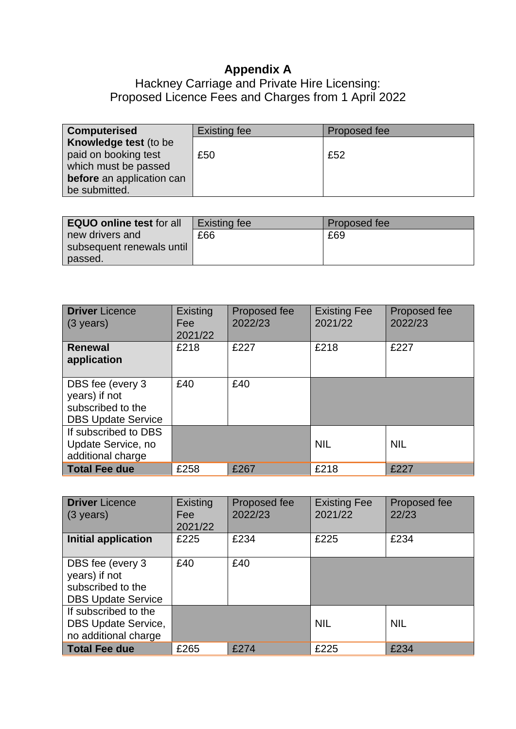## **Appendix A**

## Hackney Carriage and Private Hire Licensing: Proposed Licence Fees and Charges from 1 April 2022

| <b>Existing fee</b> | Proposed fee |
|---------------------|--------------|
|                     |              |
| £50                 | £52          |
|                     |              |
|                     |              |

| <b>EQUO online test for all</b> | Existing fee | Proposed fee |
|---------------------------------|--------------|--------------|
| new drivers and                 | £66          | £69          |
| subsequent renewals until       |              |              |
| passed.                         |              |              |

| <b>Driver Licence</b><br>$(3 \text{ years})$                                        | Existing<br>Fee<br>2021/22 | Proposed fee<br>2022/23 | <b>Existing Fee</b><br>2021/22 | Proposed fee<br>2022/23 |
|-------------------------------------------------------------------------------------|----------------------------|-------------------------|--------------------------------|-------------------------|
| <b>Renewal</b><br>application                                                       | £218                       | £227                    | £218                           | £227                    |
| DBS fee (every 3<br>years) if not<br>subscribed to the<br><b>DBS Update Service</b> | £40                        | £40                     |                                |                         |
| If subscribed to DBS<br>Update Service, no<br>additional charge                     |                            |                         | <b>NIL</b>                     | <b>NIL</b>              |
| Total Fee due                                                                       | £258                       | £267                    | £218                           | £227                    |

| <b>Driver</b> Licence<br>$(3 \text{ years})$                                        | Existing<br>Fee<br>2021/22 | Proposed fee<br>2022/23 | <b>Existing Fee</b><br>2021/22 | Proposed fee<br>22/23 |
|-------------------------------------------------------------------------------------|----------------------------|-------------------------|--------------------------------|-----------------------|
| <b>Initial application</b>                                                          | £225                       | £234                    | £225                           | £234                  |
| DBS fee (every 3<br>years) if not<br>subscribed to the<br><b>DBS Update Service</b> | £40                        | £40                     |                                |                       |
| If subscribed to the<br><b>DBS Update Service,</b><br>no additional charge          |                            |                         | <b>NIL</b>                     | <b>NIL</b>            |
| Total Fee due                                                                       | £265                       | £274                    | £225                           | £234                  |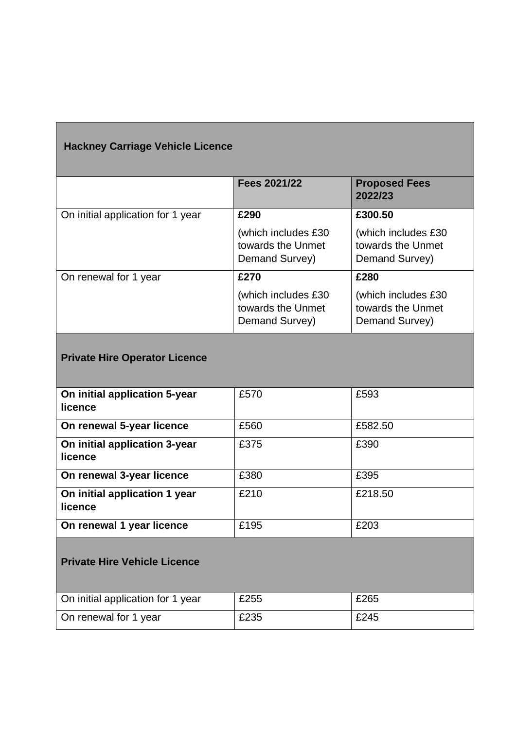| <b>Hackney Carriage Vehicle Licence</b>  |                                                            |                                                            |  |
|------------------------------------------|------------------------------------------------------------|------------------------------------------------------------|--|
|                                          | Fees 2021/22                                               | <b>Proposed Fees</b><br>2022/23                            |  |
| On initial application for 1 year        | £290                                                       | £300.50                                                    |  |
|                                          | (which includes £30<br>towards the Unmet<br>Demand Survey) | (which includes £30<br>towards the Unmet<br>Demand Survey) |  |
| On renewal for 1 year                    | £270                                                       | £280                                                       |  |
|                                          | (which includes £30<br>towards the Unmet<br>Demand Survey) | (which includes £30<br>towards the Unmet<br>Demand Survey) |  |
| <b>Private Hire Operator Licence</b>     |                                                            |                                                            |  |
| On initial application 5-year<br>licence | £570                                                       | £593                                                       |  |
| On renewal 5-year licence                | £560                                                       | £582.50                                                    |  |
| On initial application 3-year<br>licence | £375                                                       | £390                                                       |  |
| On renewal 3-year licence                | £380                                                       | £395                                                       |  |
| On initial application 1 year<br>licence | £210                                                       | £218.50                                                    |  |
| On renewal 1 year licence                | £195                                                       | £203                                                       |  |
| <b>Private Hire Vehicle Licence</b>      |                                                            |                                                            |  |
| On initial application for 1 year        | £255                                                       | £265                                                       |  |
| On renewal for 1 year                    | £235                                                       | £245                                                       |  |

Г